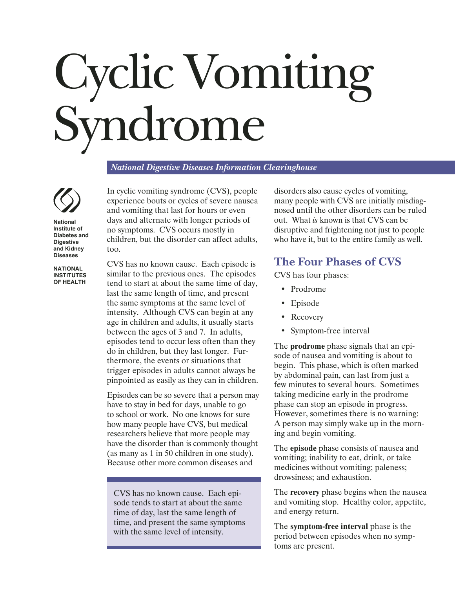# Cyclic Vomiting Syndrome

*National Digestive Diseases Information Clearinghouse*



**National Institute of Diabetes and Digestive and Kidney Diseases**

**NATIONAL INSTITUTES OF HEALTH**

In cyclic vomiting syndrome (CVS), people experience bouts or cycles of severe nausea and vomiting that last for hours or even days and alternate with longer periods of no symptoms. CVS occurs mostly in children, but the disorder can affect adults, too.

CVS has no known cause. Each episode is similar to the previous ones. The episodes tend to start at about the same time of day, last the same length of time, and present the same symptoms at the same level of intensity. Although CVS can begin at any age in children and adults, it usually starts between the ages of 3 and 7. In adults, episodes tend to occur less often than they do in children, but they last longer. Furthermore, the events or situations that trigger episodes in adults cannot always be pinpointed as easily as they can in children.

Episodes can be so severe that a person may have to stay in bed for days, unable to go to school or work. No one knows for sure how many people have CVS, but medical researchers believe that more people may have the disorder than is commonly thought (as many as 1 in 50 children in one study). Because other more common diseases and

CVS has no known cause. Each episode tends to start at about the same time of day, last the same length of time, and present the same symptoms with the same level of intensity.

disorders also cause cycles of vomiting, many people with CVS are initially misdiagnosed until the other disorders can be ruled out. What *is* known is that CVS can be disruptive and frightening not just to people who have it, but to the entire family as well.

#### **The Four Phases of CVS**

CVS has four phases:

- Prodrome
- Episode
- Recovery
- Symptom-free interval

The **prodrome** phase signals that an episode of nausea and vomiting is about to begin. This phase, which is often marked by abdominal pain, can last from just a few minutes to several hours. Sometimes taking medicine early in the prodrome phase can stop an episode in progress. However, sometimes there is no warning: A person may simply wake up in the morning and begin vomiting.

The **episode** phase consists of nausea and vomiting; inability to eat, drink, or take medicines without vomiting; paleness; drowsiness; and exhaustion.

The **recovery** phase begins when the nausea and vomiting stop. Healthy color, appetite, and energy return.

The **symptom-free interval** phase is the period between episodes when no symptoms are present.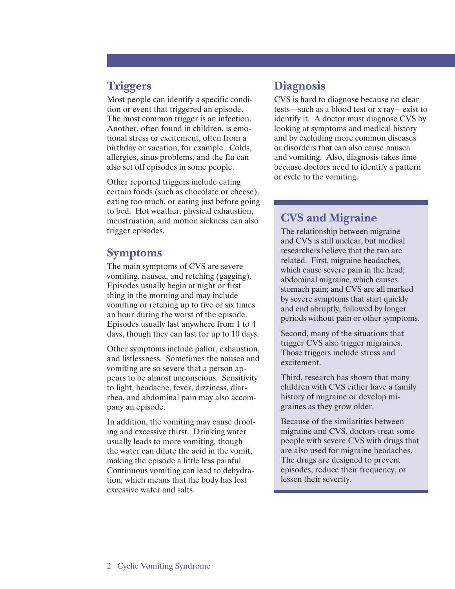## **Triggers**

Most people can identify a specific condition or event that triggered an episode. The most common trigger is an infection. Another, often found in children, is emotional stress or excitement, often from a birthday or vacation, for example. Colds, allergies, sinus problems, and the flu can also set off episodes in some people.

Other reported triggers include eating certain foods (such as chocolate or cheese), eating too much, or eating just before going to bed. Hot weather, physical exhaustion, menstruation, and motion sickness can also trigger episodes.

#### **Symptoms**

The main symptoms of CVS are severe vomiting, nausea, and retching (gagging). Episodes usually begin at night or first thing in the morning and may include vomiting or retching up to five or six times an hour during the worst of the episode. Episodes usually last anywhere from 1 to 4 days, though they can last for up to 10 days.

Other symptoms include pallor, exhaustion, and listlessness. Sometimes the nausea and vomiting are so severe that a person appears to be almost unconscious. Sensitivity to light, headache, fever, dizziness, diarrhea, and abdominal pain may also accompany an episode.

In addition, the vomiting may cause drooling and excessive thirst. Drinking water usually leads to more vomiting, though the water can dilute the acid in the vomit, making the episode a little less painful. Continuous vomiting can lead to dehydration, which means that the body has lost excessive water and salts.

### **Diagnosis**

CVS is hard to diagnose because no clear tests—such as a blood test or x ray—exist to identify it. A doctor must diagnose CVS by looking at symptoms and medical history and by excluding more common diseases or disorders that can also cause nausea and vomiting. Also, diagnosis takes time because doctors need to identify a pattern or cycle to the vomiting.

#### **CVS and Migraine**

The relationship between migraine and CVS is still unclear, but medical researchers believe that the two are related. First, migraine headaches, which cause severe pain in the head; abdominal migraine, which causes stomach pain; and CVS are all marked by severe symptoms that start quickly and end abruptly, followed by longer periods without pain or other symptoms.

Second, many of the situations that trigger CVS also trigger migraines. Those triggers include stress and excitement.

Third, research has shown that many children with CVS either have a family history of migraine or develop migraines as they grow older.

Because of the similarities between migraine and CVS, doctors treat some people with severe CVS with drugs that are also used for migraine headaches. The drugs are designed to prevent episodes, reduce their frequency, or lessen their severity.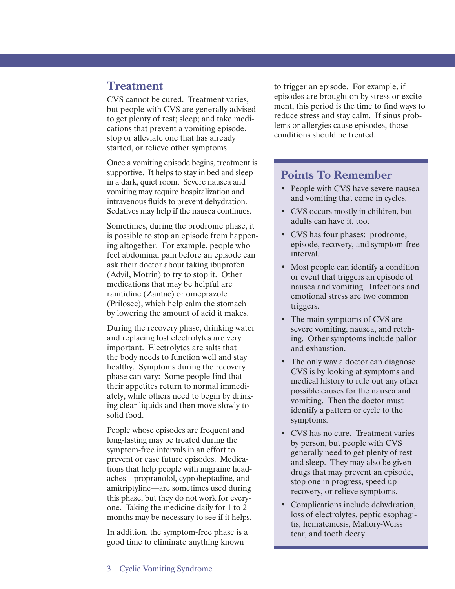#### **Treatment**

CVS cannot be cured. Treatment varies, but people with CVS are generally advised to get plenty of rest; sleep; and take medications that prevent a vomiting episode, stop or alleviate one that has already started, or relieve other symptoms.

Once a vomiting episode begins, treatment is supportive. It helps to stay in bed and sleep in a dark, quiet room. Severe nausea and vomiting may require hospitalization and intravenous fluids to prevent dehydration. Sedatives may help if the nausea continues.

Sometimes, during the prodrome phase, it is possible to stop an episode from happening altogether. For example, people who feel abdominal pain before an episode can ask their doctor about taking ibuprofen (Advil, Motrin) to try to stop it. Other medications that may be helpful are ranitidine (Zantac) or omeprazole (Prilosec), which help calm the stomach by lowering the amount of acid it makes.

During the recovery phase, drinking water and replacing lost electrolytes are very important. Electrolytes are salts that the body needs to function well and stay healthy. Symptoms during the recovery phase can vary: Some people find that their appetites return to normal immediately, while others need to begin by drinking clear liquids and then move slowly to solid food.

People whose episodes are frequent and long-lasting may be treated during the symptom-free intervals in an effort to prevent or ease future episodes. Medications that help people with migraine headaches—propranolol, cyproheptadine, and amitriptyline—are sometimes used during this phase, but they do not work for everyone. Taking the medicine daily for 1 to 2 months may be necessary to see if it helps.

In addition, the symptom-free phase is a good time to eliminate anything known

to trigger an episode. For example, if episodes are brought on by stress or excitement, this period is the time to find ways to reduce stress and stay calm. If sinus problems or allergies cause episodes, those conditions should be treated.

#### **Points To Remember**

- People with CVS have severe nausea and vomiting that come in cycles.
- CVS occurs mostly in children, but adults can have it, too.
- CVS has four phases: prodrome, episode, recovery, and symptom-free interval.
- Most people can identify a condition or event that triggers an episode of nausea and vomiting. Infections and emotional stress are two common triggers.
- The main symptoms of CVS are severe vomiting, nausea, and retching. Other symptoms include pallor and exhaustion.
- The only way a doctor can diagnose CVS is by looking at symptoms and medical history to rule out any other possible causes for the nausea and vomiting. Then the doctor must identify a pattern or cycle to the symptoms.
- CVS has no cure. Treatment varies by person, but people with CVS generally need to get plenty of rest and sleep. They may also be given drugs that may prevent an episode, stop one in progress, speed up recovery, or relieve symptoms.
- Complications include dehydration, loss of electrolytes, peptic esophagitis, hematemesis, Mallory-Weiss tear, and tooth decay.